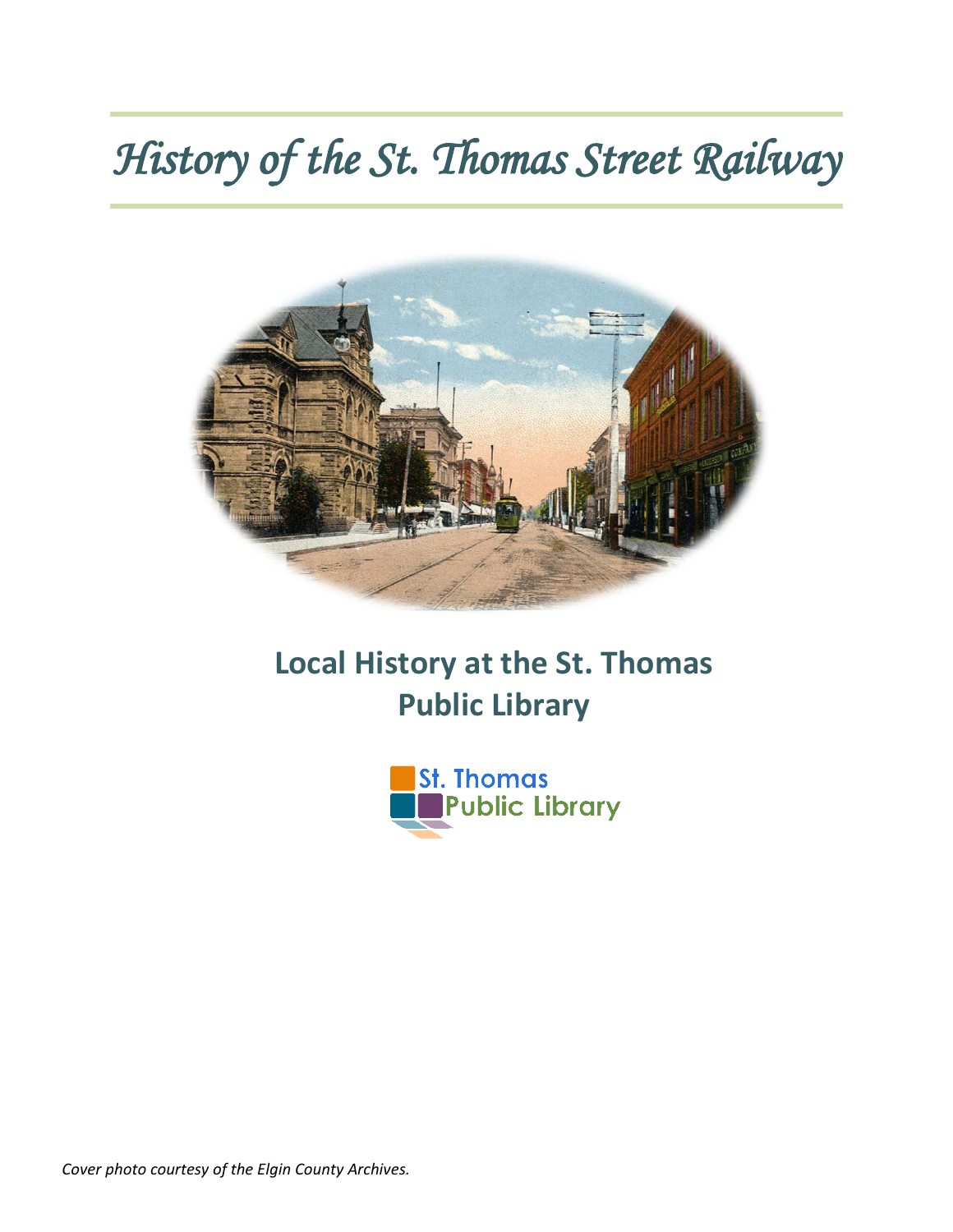## *History of the St. Thomas Street Railway*



## **Local History at the St. Thomas Public Library**



*Cover photo courtesy of the Elgin County Archives.*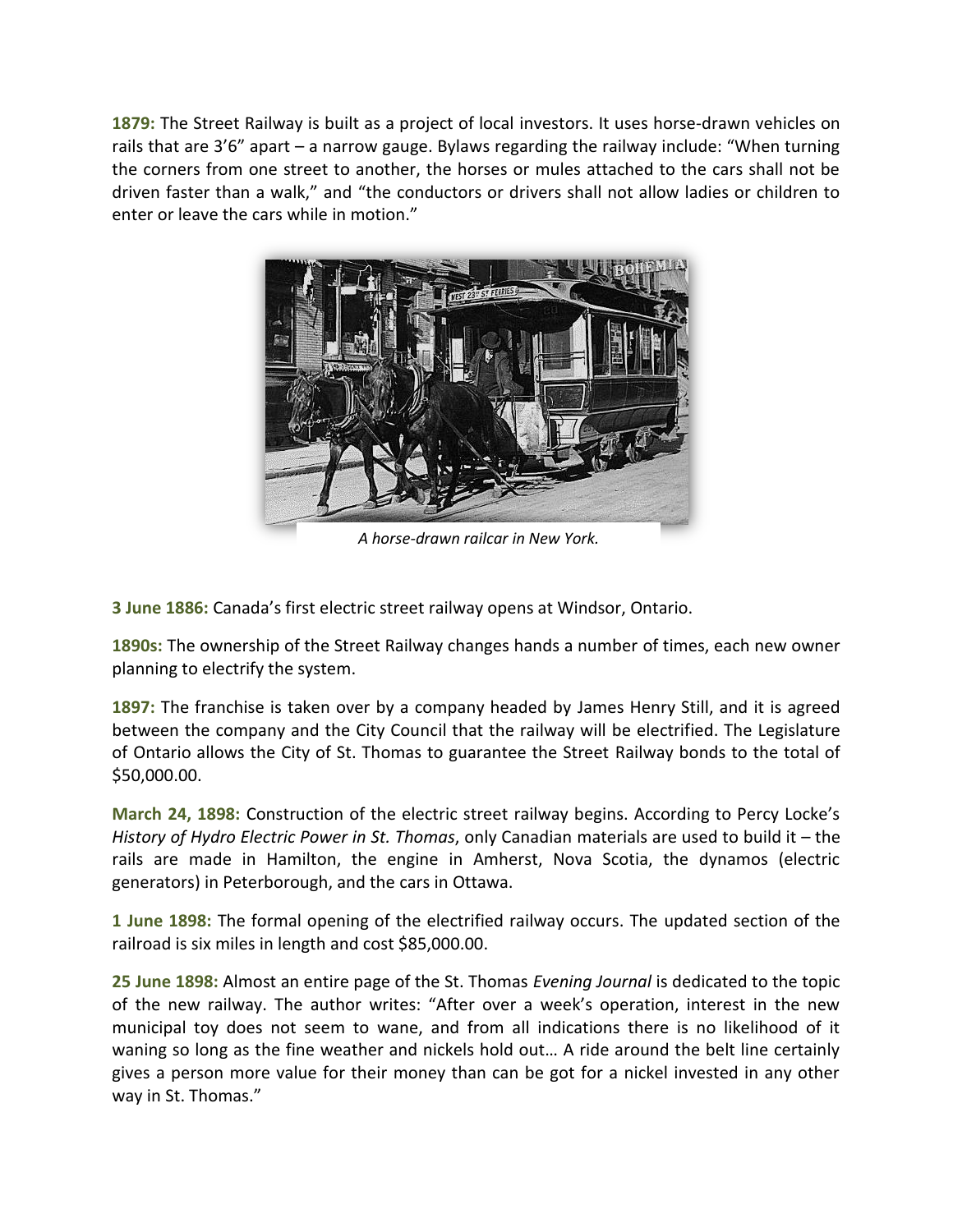**1879:** The Street Railway is built as a project of local investors. It uses horse-drawn vehicles on rails that are 3'6" apart – a narrow gauge. Bylaws regarding the railway include: "When turning the corners from one street to another, the horses or mules attached to the cars shall not be driven faster than a walk," and "the conductors or drivers shall not allow ladies or children to enter or leave the cars while in motion."



*A horse-drawn railcar in New York.*

**3 June 1886:** Canada's first electric street railway opens at Windsor, Ontario.

**1890s:** The ownership of the Street Railway changes hands a number of times, each new owner planning to electrify the system.

**1897:** The franchise is taken over by a company headed by James Henry Still, and it is agreed between the company and the City Council that the railway will be electrified. The Legislature of Ontario allows the City of St. Thomas to guarantee the Street Railway bonds to the total of \$50,000.00.

**March 24, 1898:** Construction of the electric street railway begins. According to Percy Locke's *History of Hydro Electric Power in St. Thomas*, only Canadian materials are used to build it – the rails are made in Hamilton, the engine in Amherst, Nova Scotia, the dynamos (electric generators) in Peterborough, and the cars in Ottawa.

**1 June 1898:** The formal opening of the electrified railway occurs. The updated section of the railroad is six miles in length and cost \$85,000.00.

**25 June 1898:** Almost an entire page of the St. Thomas *Evening Journal* is dedicated to the topic of the new railway. The author writes: "After over a week's operation, interest in the new municipal toy does not seem to wane, and from all indications there is no likelihood of it waning so long as the fine weather and nickels hold out… A ride around the belt line certainly gives a person more value for their money than can be got for a nickel invested in any other way in St. Thomas."